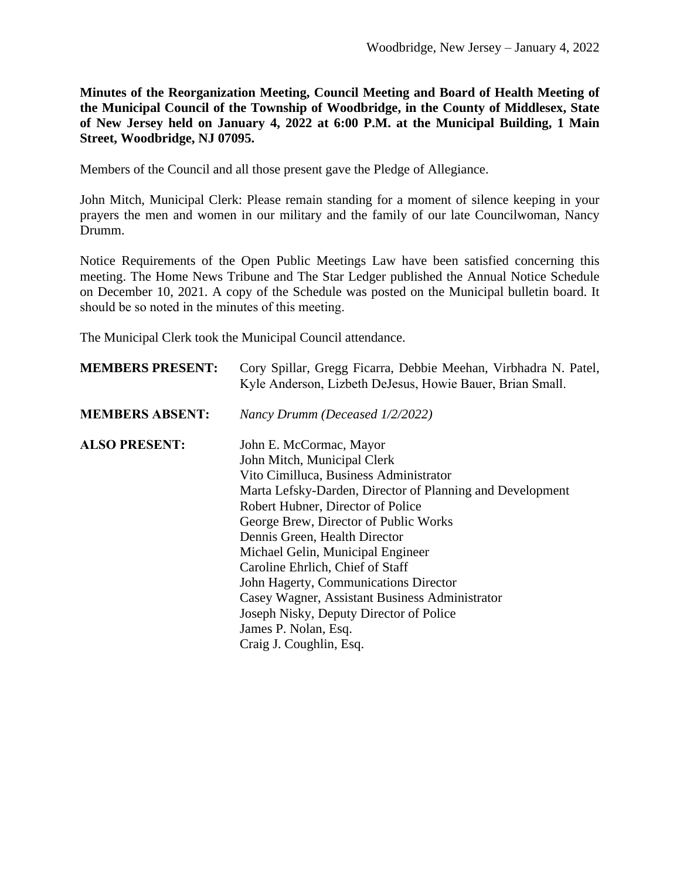**Minutes of the Reorganization Meeting, Council Meeting and Board of Health Meeting of the Municipal Council of the Township of Woodbridge, in the County of Middlesex, State of New Jersey held on January 4, 2022 at 6:00 P.M. at the Municipal Building, 1 Main Street, Woodbridge, NJ 07095.**

Members of the Council and all those present gave the Pledge of Allegiance.

John Mitch, Municipal Clerk: Please remain standing for a moment of silence keeping in your prayers the men and women in our military and the family of our late Councilwoman, Nancy Drumm.

Notice Requirements of the Open Public Meetings Law have been satisfied concerning this meeting. The Home News Tribune and The Star Ledger published the Annual Notice Schedule on December 10, 2021. A copy of the Schedule was posted on the Municipal bulletin board. It should be so noted in the minutes of this meeting.

The Municipal Clerk took the Municipal Council attendance.

| <b>MEMBERS PRESENT:</b> | Cory Spillar, Gregg Ficarra, Debbie Meehan, Virbhadra N. Patel,<br>Kyle Anderson, Lizbeth DeJesus, Howie Bauer, Brian Small. |
|-------------------------|------------------------------------------------------------------------------------------------------------------------------|
| <b>MEMBERS ABSENT:</b>  | Nancy Drumm (Deceased 1/2/2022)                                                                                              |
| <b>ALSO PRESENT:</b>    | John E. McCormac, Mayor                                                                                                      |
|                         | John Mitch, Municipal Clerk                                                                                                  |
|                         | Vito Cimilluca, Business Administrator                                                                                       |
|                         | Marta Lefsky-Darden, Director of Planning and Development                                                                    |
|                         | Robert Hubner, Director of Police                                                                                            |
|                         | George Brew, Director of Public Works                                                                                        |
|                         | Dennis Green, Health Director                                                                                                |
|                         | Michael Gelin, Municipal Engineer                                                                                            |
|                         | Caroline Ehrlich, Chief of Staff                                                                                             |
|                         | John Hagerty, Communications Director                                                                                        |
|                         | Casey Wagner, Assistant Business Administrator                                                                               |
|                         | Joseph Nisky, Deputy Director of Police                                                                                      |
|                         | James P. Nolan, Esq.                                                                                                         |
|                         | Craig J. Coughlin, Esq.                                                                                                      |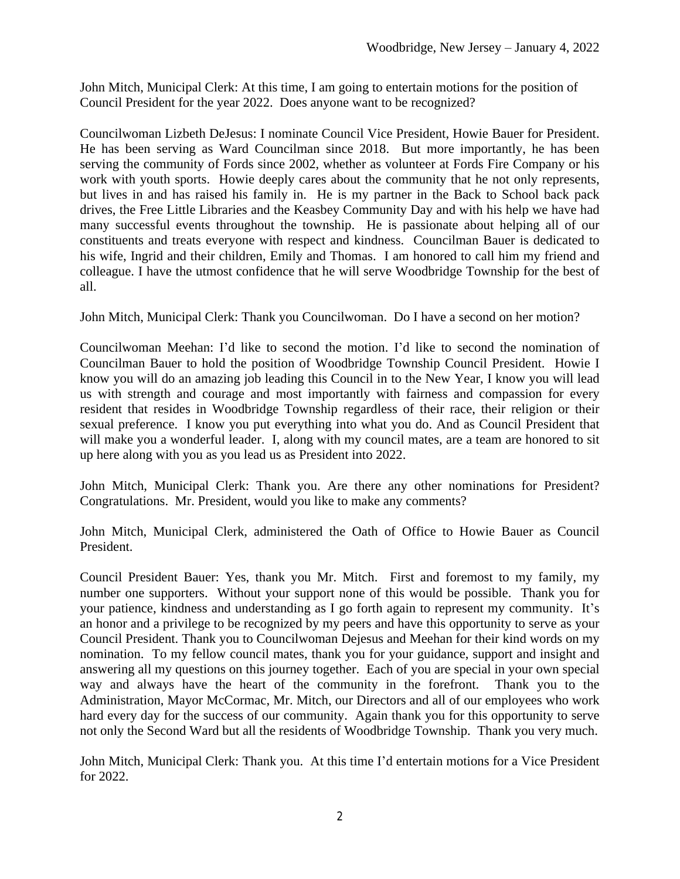John Mitch, Municipal Clerk: At this time, I am going to entertain motions for the position of Council President for the year 2022. Does anyone want to be recognized?

Councilwoman Lizbeth DeJesus: I nominate Council Vice President, Howie Bauer for President. He has been serving as Ward Councilman since 2018. But more importantly, he has been serving the community of Fords since 2002, whether as volunteer at Fords Fire Company or his work with youth sports. Howie deeply cares about the community that he not only represents, but lives in and has raised his family in. He is my partner in the Back to School back pack drives, the Free Little Libraries and the Keasbey Community Day and with his help we have had many successful events throughout the township. He is passionate about helping all of our constituents and treats everyone with respect and kindness. Councilman Bauer is dedicated to his wife, Ingrid and their children, Emily and Thomas. I am honored to call him my friend and colleague. I have the utmost confidence that he will serve Woodbridge Township for the best of all.

John Mitch, Municipal Clerk: Thank you Councilwoman. Do I have a second on her motion?

Councilwoman Meehan: I'd like to second the motion. I'd like to second the nomination of Councilman Bauer to hold the position of Woodbridge Township Council President. Howie I know you will do an amazing job leading this Council in to the New Year, I know you will lead us with strength and courage and most importantly with fairness and compassion for every resident that resides in Woodbridge Township regardless of their race, their religion or their sexual preference. I know you put everything into what you do. And as Council President that will make you a wonderful leader. I, along with my council mates, are a team are honored to sit up here along with you as you lead us as President into 2022.

John Mitch, Municipal Clerk: Thank you. Are there any other nominations for President? Congratulations. Mr. President, would you like to make any comments?

John Mitch, Municipal Clerk, administered the Oath of Office to Howie Bauer as Council President.

Council President Bauer: Yes, thank you Mr. Mitch. First and foremost to my family, my number one supporters. Without your support none of this would be possible. Thank you for your patience, kindness and understanding as I go forth again to represent my community. It's an honor and a privilege to be recognized by my peers and have this opportunity to serve as your Council President. Thank you to Councilwoman Dejesus and Meehan for their kind words on my nomination. To my fellow council mates, thank you for your guidance, support and insight and answering all my questions on this journey together. Each of you are special in your own special way and always have the heart of the community in the forefront. Thank you to the Administration, Mayor McCormac, Mr. Mitch, our Directors and all of our employees who work hard every day for the success of our community. Again thank you for this opportunity to serve not only the Second Ward but all the residents of Woodbridge Township. Thank you very much.

John Mitch, Municipal Clerk: Thank you. At this time I'd entertain motions for a Vice President for 2022.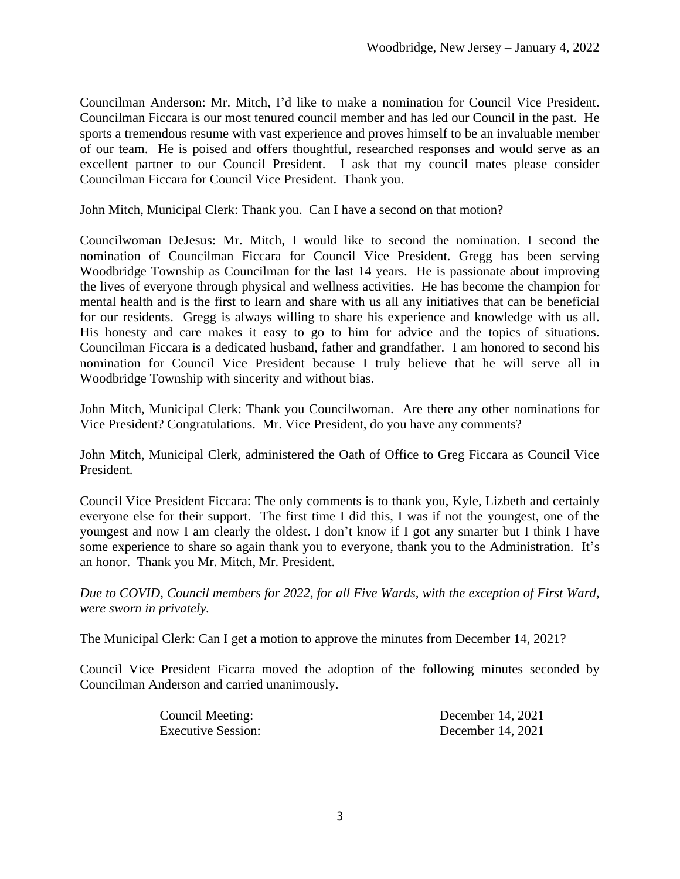Councilman Anderson: Mr. Mitch, I'd like to make a nomination for Council Vice President. Councilman Ficcara is our most tenured council member and has led our Council in the past. He sports a tremendous resume with vast experience and proves himself to be an invaluable member of our team. He is poised and offers thoughtful, researched responses and would serve as an excellent partner to our Council President. I ask that my council mates please consider Councilman Ficcara for Council Vice President. Thank you.

John Mitch, Municipal Clerk: Thank you. Can I have a second on that motion?

Councilwoman DeJesus: Mr. Mitch, I would like to second the nomination. I second the nomination of Councilman Ficcara for Council Vice President. Gregg has been serving Woodbridge Township as Councilman for the last 14 years. He is passionate about improving the lives of everyone through physical and wellness activities. He has become the champion for mental health and is the first to learn and share with us all any initiatives that can be beneficial for our residents. Gregg is always willing to share his experience and knowledge with us all. His honesty and care makes it easy to go to him for advice and the topics of situations. Councilman Ficcara is a dedicated husband, father and grandfather. I am honored to second his nomination for Council Vice President because I truly believe that he will serve all in Woodbridge Township with sincerity and without bias.

John Mitch, Municipal Clerk: Thank you Councilwoman. Are there any other nominations for Vice President? Congratulations. Mr. Vice President, do you have any comments?

John Mitch, Municipal Clerk, administered the Oath of Office to Greg Ficcara as Council Vice President.

Council Vice President Ficcara: The only comments is to thank you, Kyle, Lizbeth and certainly everyone else for their support. The first time I did this, I was if not the youngest, one of the youngest and now I am clearly the oldest. I don't know if I got any smarter but I think I have some experience to share so again thank you to everyone, thank you to the Administration. It's an honor. Thank you Mr. Mitch, Mr. President.

*Due to COVID, Council members for 2022, for all Five Wards, with the exception of First Ward, were sworn in privately.* 

The Municipal Clerk: Can I get a motion to approve the minutes from December 14, 2021?

Council Vice President Ficarra moved the adoption of the following minutes seconded by Councilman Anderson and carried unanimously.

| Council Meeting:          | December 14, 2021 |
|---------------------------|-------------------|
| <b>Executive Session:</b> | December 14, 2021 |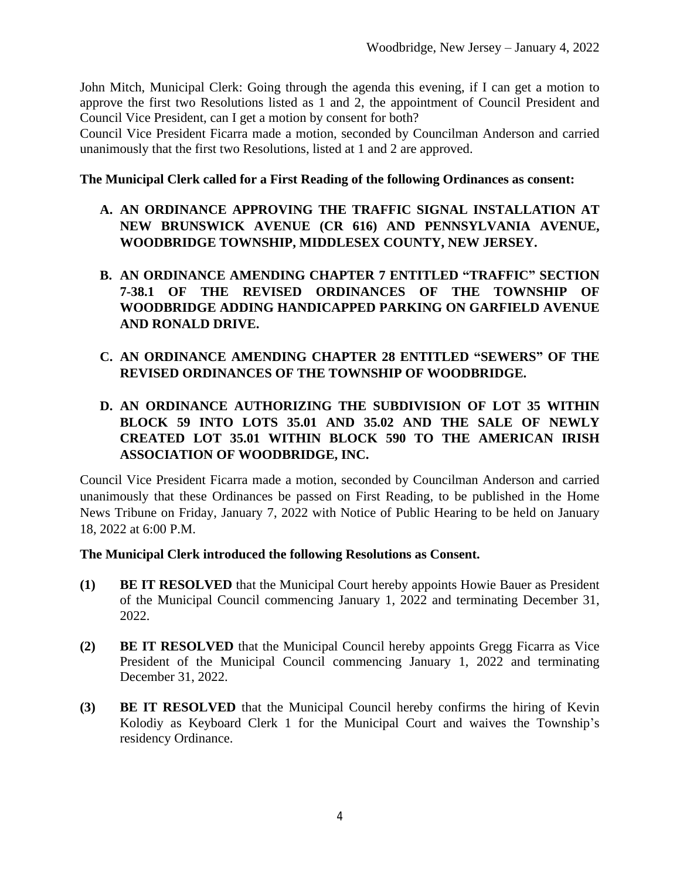John Mitch, Municipal Clerk: Going through the agenda this evening, if I can get a motion to approve the first two Resolutions listed as 1 and 2, the appointment of Council President and Council Vice President, can I get a motion by consent for both?

Council Vice President Ficarra made a motion, seconded by Councilman Anderson and carried unanimously that the first two Resolutions, listed at 1 and 2 are approved.

#### **The Municipal Clerk called for a First Reading of the following Ordinances as consent:**

- **A. AN ORDINANCE APPROVING THE TRAFFIC SIGNAL INSTALLATION AT NEW BRUNSWICK AVENUE (CR 616) AND PENNSYLVANIA AVENUE, WOODBRIDGE TOWNSHIP, MIDDLESEX COUNTY, NEW JERSEY.**
- **B. AN ORDINANCE AMENDING CHAPTER 7 ENTITLED "TRAFFIC" SECTION 7-38.1 OF THE REVISED ORDINANCES OF THE TOWNSHIP OF WOODBRIDGE ADDING HANDICAPPED PARKING ON GARFIELD AVENUE AND RONALD DRIVE.**
- **C. AN ORDINANCE AMENDING CHAPTER 28 ENTITLED "SEWERS" OF THE REVISED ORDINANCES OF THE TOWNSHIP OF WOODBRIDGE.**
- **D. AN ORDINANCE AUTHORIZING THE SUBDIVISION OF LOT 35 WITHIN BLOCK 59 INTO LOTS 35.01 AND 35.02 AND THE SALE OF NEWLY CREATED LOT 35.01 WITHIN BLOCK 590 TO THE AMERICAN IRISH ASSOCIATION OF WOODBRIDGE, INC.**

Council Vice President Ficarra made a motion, seconded by Councilman Anderson and carried unanimously that these Ordinances be passed on First Reading, to be published in the Home News Tribune on Friday, January 7, 2022 with Notice of Public Hearing to be held on January 18, 2022 at 6:00 P.M.

#### **The Municipal Clerk introduced the following Resolutions as Consent.**

- **(1) BE IT RESOLVED** that the Municipal Court hereby appoints Howie Bauer as President of the Municipal Council commencing January 1, 2022 and terminating December 31, 2022.
- **(2) BE IT RESOLVED** that the Municipal Council hereby appoints Gregg Ficarra as Vice President of the Municipal Council commencing January 1, 2022 and terminating December 31, 2022.
- **(3) BE IT RESOLVED** that the Municipal Council hereby confirms the hiring of Kevin Kolodiy as Keyboard Clerk 1 for the Municipal Court and waives the Township's residency Ordinance.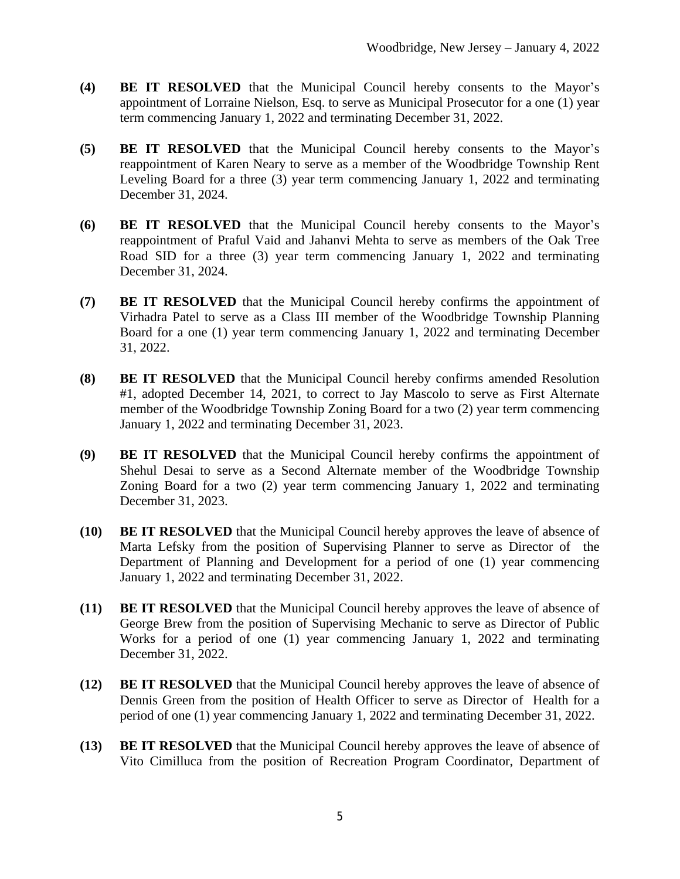- **(4) BE IT RESOLVED** that the Municipal Council hereby consents to the Mayor's appointment of Lorraine Nielson, Esq. to serve as Municipal Prosecutor for a one (1) year term commencing January 1, 2022 and terminating December 31, 2022.
- **(5) BE IT RESOLVED** that the Municipal Council hereby consents to the Mayor's reappointment of Karen Neary to serve as a member of the Woodbridge Township Rent Leveling Board for a three (3) year term commencing January 1, 2022 and terminating December 31, 2024.
- **(6) BE IT RESOLVED** that the Municipal Council hereby consents to the Mayor's reappointment of Praful Vaid and Jahanvi Mehta to serve as members of the Oak Tree Road SID for a three (3) year term commencing January 1, 2022 and terminating December 31, 2024.
- **(7) BE IT RESOLVED** that the Municipal Council hereby confirms the appointment of Virhadra Patel to serve as a Class III member of the Woodbridge Township Planning Board for a one (1) year term commencing January 1, 2022 and terminating December 31, 2022.
- **(8) BE IT RESOLVED** that the Municipal Council hereby confirms amended Resolution #1, adopted December 14, 2021, to correct to Jay Mascolo to serve as First Alternate member of the Woodbridge Township Zoning Board for a two (2) year term commencing January 1, 2022 and terminating December 31, 2023.
- **(9) BE IT RESOLVED** that the Municipal Council hereby confirms the appointment of Shehul Desai to serve as a Second Alternate member of the Woodbridge Township Zoning Board for a two (2) year term commencing January 1, 2022 and terminating December 31, 2023.
- **(10) BE IT RESOLVED** that the Municipal Council hereby approves the leave of absence of Marta Lefsky from the position of Supervising Planner to serve as Director of the Department of Planning and Development for a period of one (1) year commencing January 1, 2022 and terminating December 31, 2022.
- **(11) BE IT RESOLVED** that the Municipal Council hereby approves the leave of absence of George Brew from the position of Supervising Mechanic to serve as Director of Public Works for a period of one (1) year commencing January 1, 2022 and terminating December 31, 2022.
- **(12) BE IT RESOLVED** that the Municipal Council hereby approves the leave of absence of Dennis Green from the position of Health Officer to serve as Director of Health for a period of one (1) year commencing January 1, 2022 and terminating December 31, 2022.
- **(13) BE IT RESOLVED** that the Municipal Council hereby approves the leave of absence of Vito Cimilluca from the position of Recreation Program Coordinator, Department of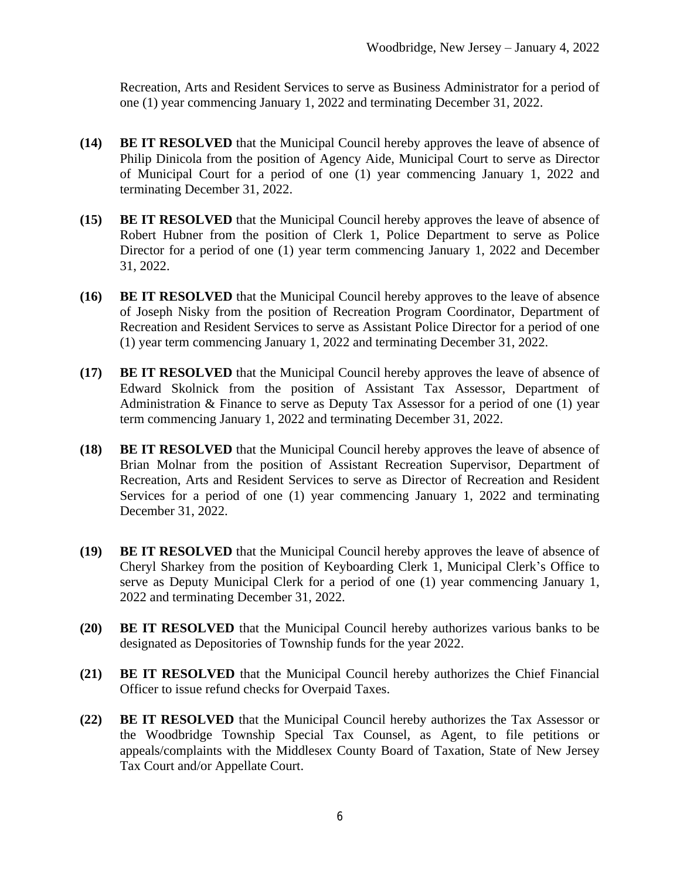Recreation, Arts and Resident Services to serve as Business Administrator for a period of one (1) year commencing January 1, 2022 and terminating December 31, 2022.

- **(14) BE IT RESOLVED** that the Municipal Council hereby approves the leave of absence of Philip Dinicola from the position of Agency Aide, Municipal Court to serve as Director of Municipal Court for a period of one (1) year commencing January 1, 2022 and terminating December 31, 2022.
- **(15) BE IT RESOLVED** that the Municipal Council hereby approves the leave of absence of Robert Hubner from the position of Clerk 1, Police Department to serve as Police Director for a period of one (1) year term commencing January 1, 2022 and December 31, 2022.
- **(16) BE IT RESOLVED** that the Municipal Council hereby approves to the leave of absence of Joseph Nisky from the position of Recreation Program Coordinator, Department of Recreation and Resident Services to serve as Assistant Police Director for a period of one (1) year term commencing January 1, 2022 and terminating December 31, 2022.
- **(17) BE IT RESOLVED** that the Municipal Council hereby approves the leave of absence of Edward Skolnick from the position of Assistant Tax Assessor, Department of Administration & Finance to serve as Deputy Tax Assessor for a period of one (1) year term commencing January 1, 2022 and terminating December 31, 2022.
- **(18) BE IT RESOLVED** that the Municipal Council hereby approves the leave of absence of Brian Molnar from the position of Assistant Recreation Supervisor, Department of Recreation, Arts and Resident Services to serve as Director of Recreation and Resident Services for a period of one (1) year commencing January 1, 2022 and terminating December 31, 2022.
- **(19) BE IT RESOLVED** that the Municipal Council hereby approves the leave of absence of Cheryl Sharkey from the position of Keyboarding Clerk 1, Municipal Clerk's Office to serve as Deputy Municipal Clerk for a period of one (1) year commencing January 1, 2022 and terminating December 31, 2022.
- **(20) BE IT RESOLVED** that the Municipal Council hereby authorizes various banks to be designated as Depositories of Township funds for the year 2022.
- **(21) BE IT RESOLVED** that the Municipal Council hereby authorizes the Chief Financial Officer to issue refund checks for Overpaid Taxes.
- **(22) BE IT RESOLVED** that the Municipal Council hereby authorizes the Tax Assessor or the Woodbridge Township Special Tax Counsel, as Agent, to file petitions or appeals/complaints with the Middlesex County Board of Taxation, State of New Jersey Tax Court and/or Appellate Court.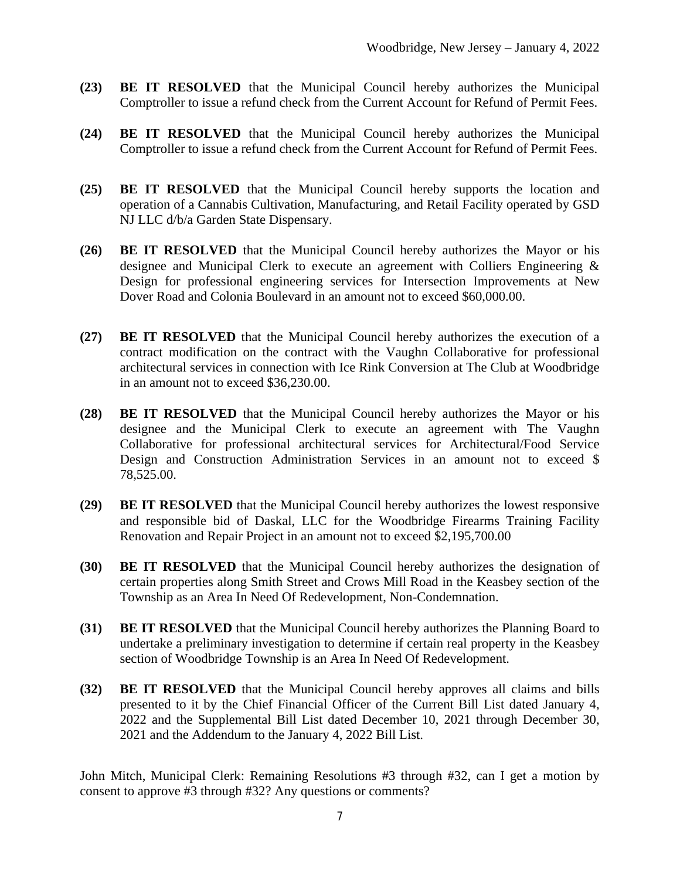- **(23) BE IT RESOLVED** that the Municipal Council hereby authorizes the Municipal Comptroller to issue a refund check from the Current Account for Refund of Permit Fees.
- **(24) BE IT RESOLVED** that the Municipal Council hereby authorizes the Municipal Comptroller to issue a refund check from the Current Account for Refund of Permit Fees.
- **(25) BE IT RESOLVED** that the Municipal Council hereby supports the location and operation of a Cannabis Cultivation, Manufacturing, and Retail Facility operated by GSD NJ LLC d/b/a Garden State Dispensary.
- **(26) BE IT RESOLVED** that the Municipal Council hereby authorizes the Mayor or his designee and Municipal Clerk to execute an agreement with Colliers Engineering & Design for professional engineering services for Intersection Improvements at New Dover Road and Colonia Boulevard in an amount not to exceed \$60,000.00.
- **(27) BE IT RESOLVED** that the Municipal Council hereby authorizes the execution of a contract modification on the contract with the Vaughn Collaborative for professional architectural services in connection with Ice Rink Conversion at The Club at Woodbridge in an amount not to exceed \$36,230.00.
- **(28) BE IT RESOLVED** that the Municipal Council hereby authorizes the Mayor or his designee and the Municipal Clerk to execute an agreement with The Vaughn Collaborative for professional architectural services for Architectural/Food Service Design and Construction Administration Services in an amount not to exceed \$ 78,525.00.
- **(29) BE IT RESOLVED** that the Municipal Council hereby authorizes the lowest responsive and responsible bid of Daskal, LLC for the Woodbridge Firearms Training Facility Renovation and Repair Project in an amount not to exceed \$2,195,700.00
- **(30) BE IT RESOLVED** that the Municipal Council hereby authorizes the designation of certain properties along Smith Street and Crows Mill Road in the Keasbey section of the Township as an Area In Need Of Redevelopment, Non-Condemnation.
- **(31) BE IT RESOLVED** that the Municipal Council hereby authorizes the Planning Board to undertake a preliminary investigation to determine if certain real property in the Keasbey section of Woodbridge Township is an Area In Need Of Redevelopment.
- **(32) BE IT RESOLVED** that the Municipal Council hereby approves all claims and bills presented to it by the Chief Financial Officer of the Current Bill List dated January 4, 2022 and the Supplemental Bill List dated December 10, 2021 through December 30, 2021 and the Addendum to the January 4, 2022 Bill List.

John Mitch, Municipal Clerk: Remaining Resolutions #3 through #32, can I get a motion by consent to approve #3 through #32? Any questions or comments?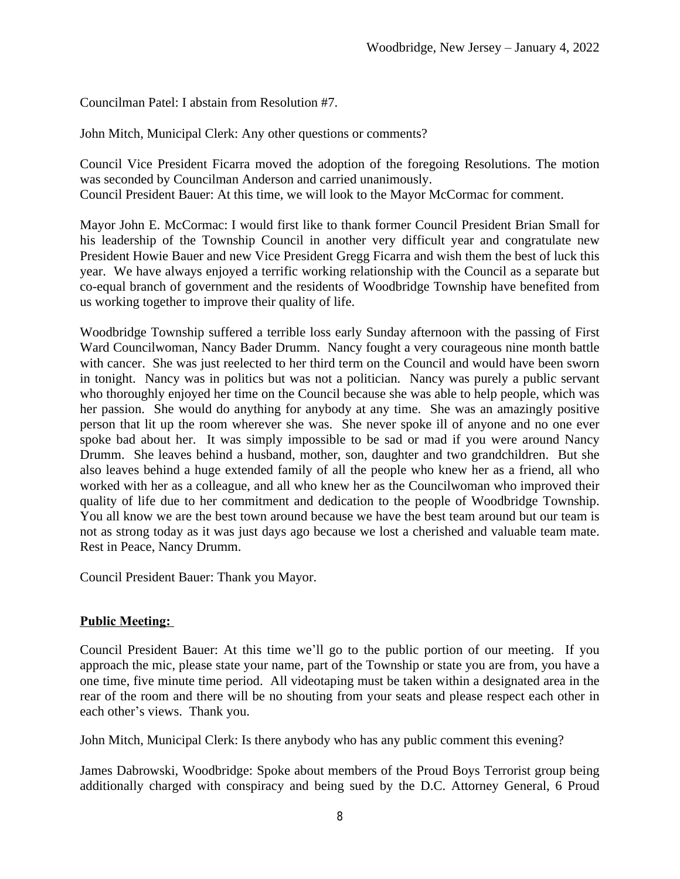Councilman Patel: I abstain from Resolution #7.

John Mitch, Municipal Clerk: Any other questions or comments?

Council Vice President Ficarra moved the adoption of the foregoing Resolutions. The motion was seconded by Councilman Anderson and carried unanimously.

Council President Bauer: At this time, we will look to the Mayor McCormac for comment.

Mayor John E. McCormac: I would first like to thank former Council President Brian Small for his leadership of the Township Council in another very difficult year and congratulate new President Howie Bauer and new Vice President Gregg Ficarra and wish them the best of luck this year. We have always enjoyed a terrific working relationship with the Council as a separate but co-equal branch of government and the residents of Woodbridge Township have benefited from us working together to improve their quality of life.

Woodbridge Township suffered a terrible loss early Sunday afternoon with the passing of First Ward Councilwoman, Nancy Bader Drumm. Nancy fought a very courageous nine month battle with cancer. She was just reelected to her third term on the Council and would have been sworn in tonight. Nancy was in politics but was not a politician. Nancy was purely a public servant who thoroughly enjoyed her time on the Council because she was able to help people, which was her passion. She would do anything for anybody at any time. She was an amazingly positive person that lit up the room wherever she was. She never spoke ill of anyone and no one ever spoke bad about her. It was simply impossible to be sad or mad if you were around Nancy Drumm. She leaves behind a husband, mother, son, daughter and two grandchildren. But she also leaves behind a huge extended family of all the people who knew her as a friend, all who worked with her as a colleague, and all who knew her as the Councilwoman who improved their quality of life due to her commitment and dedication to the people of Woodbridge Township. You all know we are the best town around because we have the best team around but our team is not as strong today as it was just days ago because we lost a cherished and valuable team mate. Rest in Peace, Nancy Drumm.

Council President Bauer: Thank you Mayor.

### **Public Meeting:**

Council President Bauer: At this time we'll go to the public portion of our meeting. If you approach the mic, please state your name, part of the Township or state you are from, you have a one time, five minute time period. All videotaping must be taken within a designated area in the rear of the room and there will be no shouting from your seats and please respect each other in each other's views. Thank you.

John Mitch, Municipal Clerk: Is there anybody who has any public comment this evening?

James Dabrowski, Woodbridge: Spoke about members of the Proud Boys Terrorist group being additionally charged with conspiracy and being sued by the D.C. Attorney General, 6 Proud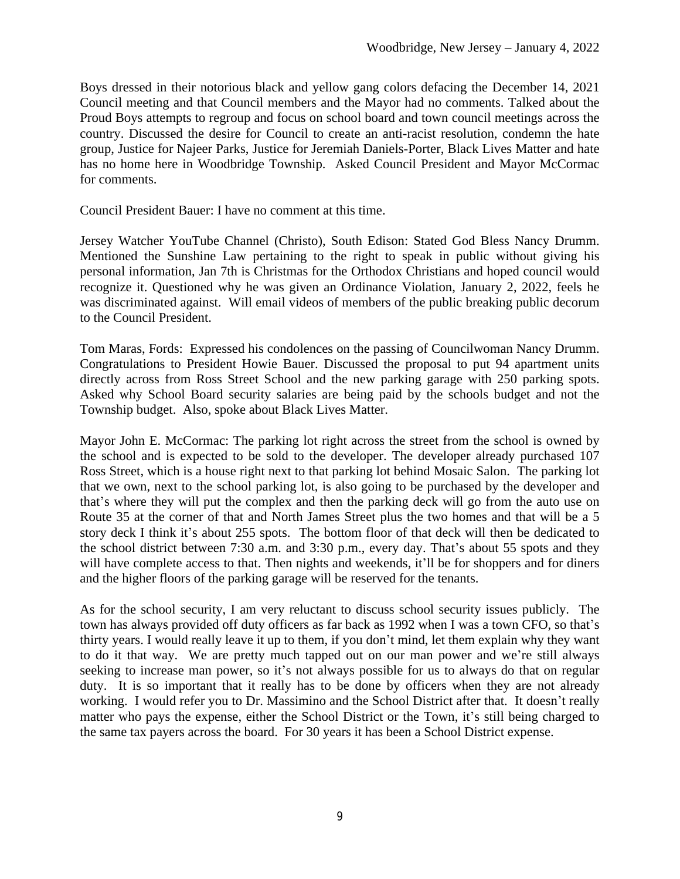Boys dressed in their notorious black and yellow gang colors defacing the December 14, 2021 Council meeting and that Council members and the Mayor had no comments. Talked about the Proud Boys attempts to regroup and focus on school board and town council meetings across the country. Discussed the desire for Council to create an anti-racist resolution, condemn the hate group, Justice for Najeer Parks, Justice for Jeremiah Daniels-Porter, Black Lives Matter and hate has no home here in Woodbridge Township. Asked Council President and Mayor McCormac for comments.

Council President Bauer: I have no comment at this time.

Jersey Watcher YouTube Channel (Christo), South Edison: Stated God Bless Nancy Drumm. Mentioned the Sunshine Law pertaining to the right to speak in public without giving his personal information, Jan 7th is Christmas for the Orthodox Christians and hoped council would recognize it. Questioned why he was given an Ordinance Violation, January 2, 2022, feels he was discriminated against. Will email videos of members of the public breaking public decorum to the Council President.

Tom Maras, Fords: Expressed his condolences on the passing of Councilwoman Nancy Drumm. Congratulations to President Howie Bauer. Discussed the proposal to put 94 apartment units directly across from Ross Street School and the new parking garage with 250 parking spots. Asked why School Board security salaries are being paid by the schools budget and not the Township budget. Also, spoke about Black Lives Matter.

Mayor John E. McCormac: The parking lot right across the street from the school is owned by the school and is expected to be sold to the developer. The developer already purchased 107 Ross Street, which is a house right next to that parking lot behind Mosaic Salon. The parking lot that we own, next to the school parking lot, is also going to be purchased by the developer and that's where they will put the complex and then the parking deck will go from the auto use on Route 35 at the corner of that and North James Street plus the two homes and that will be a 5 story deck I think it's about 255 spots. The bottom floor of that deck will then be dedicated to the school district between 7:30 a.m. and 3:30 p.m., every day. That's about 55 spots and they will have complete access to that. Then nights and weekends, it'll be for shoppers and for diners and the higher floors of the parking garage will be reserved for the tenants.

As for the school security, I am very reluctant to discuss school security issues publicly. The town has always provided off duty officers as far back as 1992 when I was a town CFO, so that's thirty years. I would really leave it up to them, if you don't mind, let them explain why they want to do it that way. We are pretty much tapped out on our man power and we're still always seeking to increase man power, so it's not always possible for us to always do that on regular duty. It is so important that it really has to be done by officers when they are not already working. I would refer you to Dr. Massimino and the School District after that. It doesn't really matter who pays the expense, either the School District or the Town, it's still being charged to the same tax payers across the board. For 30 years it has been a School District expense.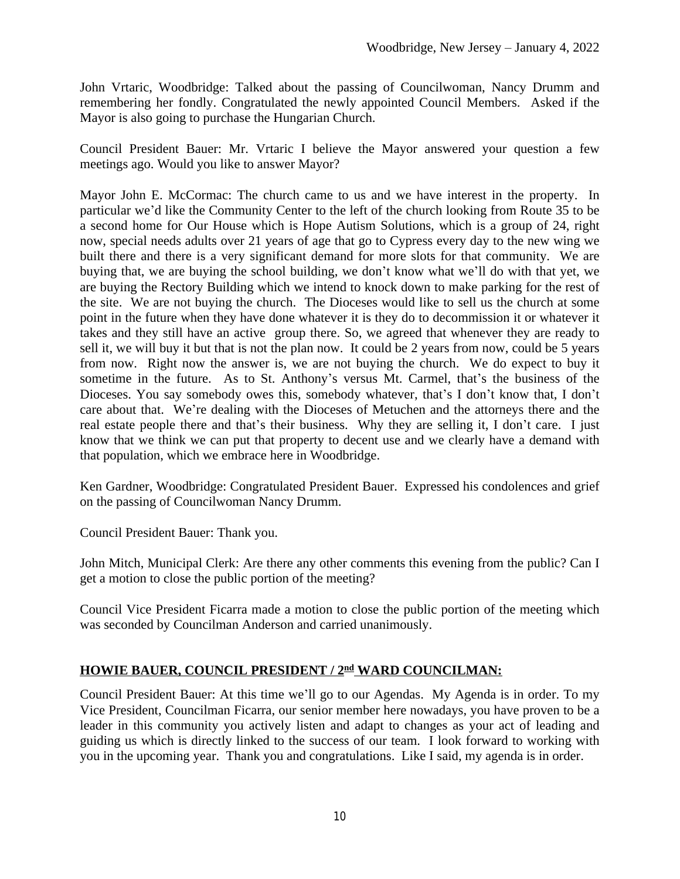John Vrtaric, Woodbridge: Talked about the passing of Councilwoman, Nancy Drumm and remembering her fondly. Congratulated the newly appointed Council Members. Asked if the Mayor is also going to purchase the Hungarian Church.

Council President Bauer: Mr. Vrtaric I believe the Mayor answered your question a few meetings ago. Would you like to answer Mayor?

Mayor John E. McCormac: The church came to us and we have interest in the property. In particular we'd like the Community Center to the left of the church looking from Route 35 to be a second home for Our House which is Hope Autism Solutions, which is a group of 24, right now, special needs adults over 21 years of age that go to Cypress every day to the new wing we built there and there is a very significant demand for more slots for that community. We are buying that, we are buying the school building, we don't know what we'll do with that yet, we are buying the Rectory Building which we intend to knock down to make parking for the rest of the site. We are not buying the church. The Dioceses would like to sell us the church at some point in the future when they have done whatever it is they do to decommission it or whatever it takes and they still have an active group there. So, we agreed that whenever they are ready to sell it, we will buy it but that is not the plan now. It could be 2 years from now, could be 5 years from now. Right now the answer is, we are not buying the church. We do expect to buy it sometime in the future. As to St. Anthony's versus Mt. Carmel, that's the business of the Dioceses. You say somebody owes this, somebody whatever, that's I don't know that, I don't care about that. We're dealing with the Dioceses of Metuchen and the attorneys there and the real estate people there and that's their business. Why they are selling it, I don't care. I just know that we think we can put that property to decent use and we clearly have a demand with that population, which we embrace here in Woodbridge.

Ken Gardner, Woodbridge: Congratulated President Bauer. Expressed his condolences and grief on the passing of Councilwoman Nancy Drumm.

Council President Bauer: Thank you.

John Mitch, Municipal Clerk: Are there any other comments this evening from the public? Can I get a motion to close the public portion of the meeting?

Council Vice President Ficarra made a motion to close the public portion of the meeting which was seconded by Councilman Anderson and carried unanimously.

# **HOWIE BAUER, COUNCIL PRESIDENT / 2nd WARD COUNCILMAN:**

Council President Bauer: At this time we'll go to our Agendas. My Agenda is in order. To my Vice President, Councilman Ficarra, our senior member here nowadays, you have proven to be a leader in this community you actively listen and adapt to changes as your act of leading and guiding us which is directly linked to the success of our team. I look forward to working with you in the upcoming year. Thank you and congratulations. Like I said, my agenda is in order.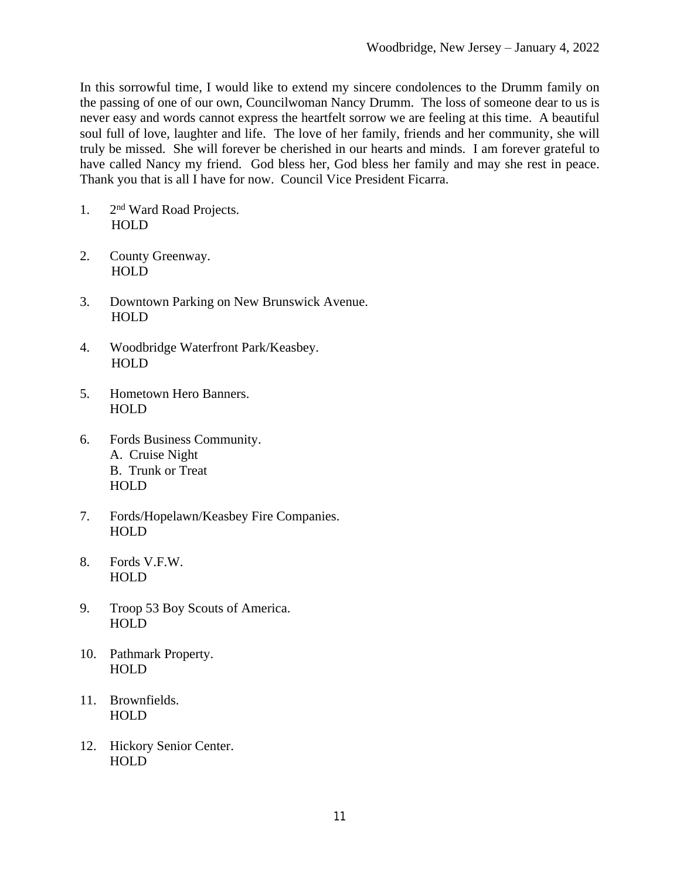In this sorrowful time, I would like to extend my sincere condolences to the Drumm family on the passing of one of our own, Councilwoman Nancy Drumm. The loss of someone dear to us is never easy and words cannot express the heartfelt sorrow we are feeling at this time. A beautiful soul full of love, laughter and life. The love of her family, friends and her community, she will truly be missed. She will forever be cherished in our hearts and minds. I am forever grateful to have called Nancy my friend. God bless her, God bless her family and may she rest in peace. Thank you that is all I have for now. Council Vice President Ficarra.

- 1. 2nd Ward Road Projects. HOLD
- 2. County Greenway. HOLD
- 3. Downtown Parking on New Brunswick Avenue. HOLD
- 4. Woodbridge Waterfront Park/Keasbey. HOLD
- 5. Hometown Hero Banners. HOLD
- 6. Fords Business Community. A. Cruise Night B. Trunk or Treat HOLD
- 7. Fords/Hopelawn/Keasbey Fire Companies. HOLD
- 8. Fords V.F.W. HOLD
- 9. Troop 53 Boy Scouts of America. HOLD
- 10. Pathmark Property. HOLD
- 11. Brownfields. HOLD
- 12. Hickory Senior Center. HOLD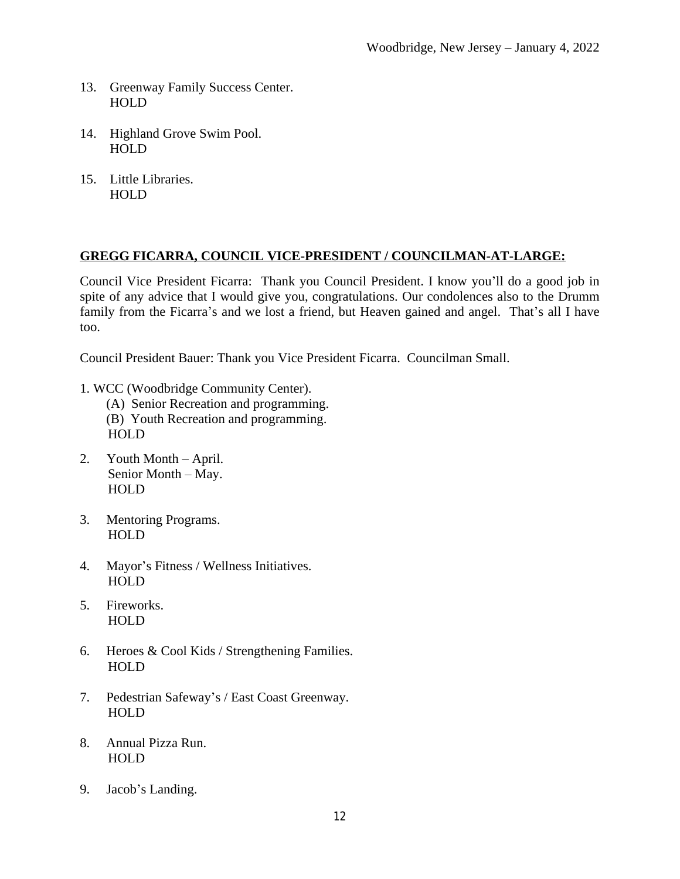- 13. Greenway Family Success Center. HOLD
- 14. Highland Grove Swim Pool. HOLD
- 15. Little Libraries. HOLD

### **GREGG FICARRA, COUNCIL VICE-PRESIDENT / COUNCILMAN-AT-LARGE:**

Council Vice President Ficarra: Thank you Council President. I know you'll do a good job in spite of any advice that I would give you, congratulations. Our condolences also to the Drumm family from the Ficarra's and we lost a friend, but Heaven gained and angel. That's all I have too.

Council President Bauer: Thank you Vice President Ficarra. Councilman Small.

- 1. WCC (Woodbridge Community Center).
	- (A) Senior Recreation and programming. (B) Youth Recreation and programming. HOLD
- 2. Youth Month April. Senior Month – May. HOLD
- 3. Mentoring Programs. HOLD
- 4. Mayor's Fitness / Wellness Initiatives. HOLD
- 5. Fireworks. HOLD
- 6. Heroes  $& Cool$  Kids / Strengthening Families. HOLD
- 7. Pedestrian Safeway's / East Coast Greenway. HOLD
- 8. Annual Pizza Run. HOLD
- 9. Jacob's Landing.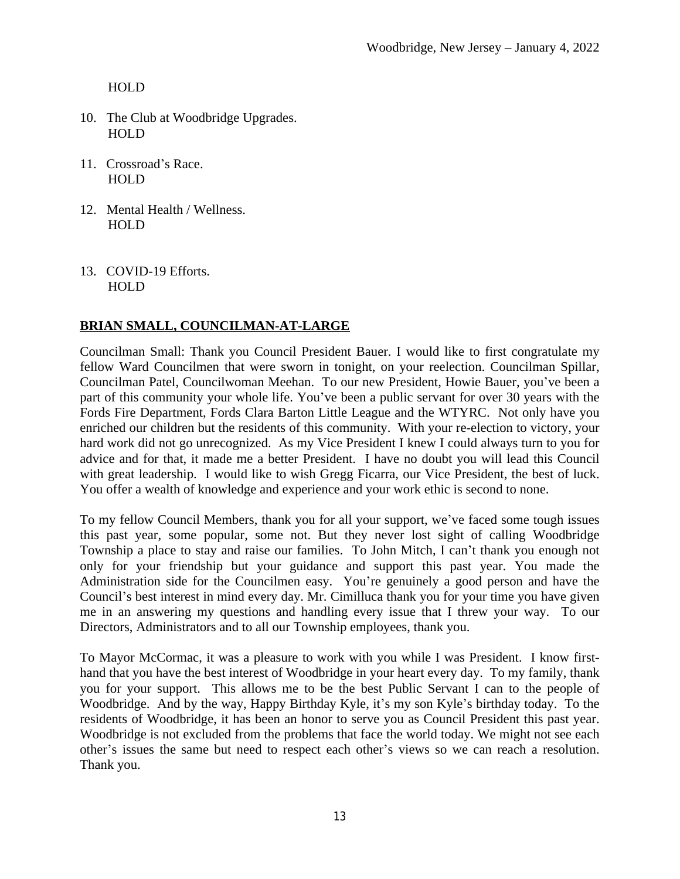- 10. The Club at Woodbridge Upgrades. HOLD
- 11. Crossroad's Race. HOLD
- 12. Mental Health / Wellness. HOLD
- 13. COVID-19 Efforts. HOLD

# **BRIAN SMALL, COUNCILMAN-AT-LARGE**

Councilman Small: Thank you Council President Bauer. I would like to first congratulate my fellow Ward Councilmen that were sworn in tonight, on your reelection. Councilman Spillar, Councilman Patel, Councilwoman Meehan. To our new President, Howie Bauer, you've been a part of this community your whole life. You've been a public servant for over 30 years with the Fords Fire Department, Fords Clara Barton Little League and the WTYRC. Not only have you enriched our children but the residents of this community. With your re-election to victory, your hard work did not go unrecognized. As my Vice President I knew I could always turn to you for advice and for that, it made me a better President. I have no doubt you will lead this Council with great leadership. I would like to wish Gregg Ficarra, our Vice President, the best of luck. You offer a wealth of knowledge and experience and your work ethic is second to none.

To my fellow Council Members, thank you for all your support, we've faced some tough issues this past year, some popular, some not. But they never lost sight of calling Woodbridge Township a place to stay and raise our families. To John Mitch, I can't thank you enough not only for your friendship but your guidance and support this past year. You made the Administration side for the Councilmen easy. You're genuinely a good person and have the Council's best interest in mind every day. Mr. Cimilluca thank you for your time you have given me in an answering my questions and handling every issue that I threw your way. To our Directors, Administrators and to all our Township employees, thank you.

To Mayor McCormac, it was a pleasure to work with you while I was President. I know firsthand that you have the best interest of Woodbridge in your heart every day. To my family, thank you for your support. This allows me to be the best Public Servant I can to the people of Woodbridge. And by the way, Happy Birthday Kyle, it's my son Kyle's birthday today. To the residents of Woodbridge, it has been an honor to serve you as Council President this past year. Woodbridge is not excluded from the problems that face the world today. We might not see each other's issues the same but need to respect each other's views so we can reach a resolution. Thank you.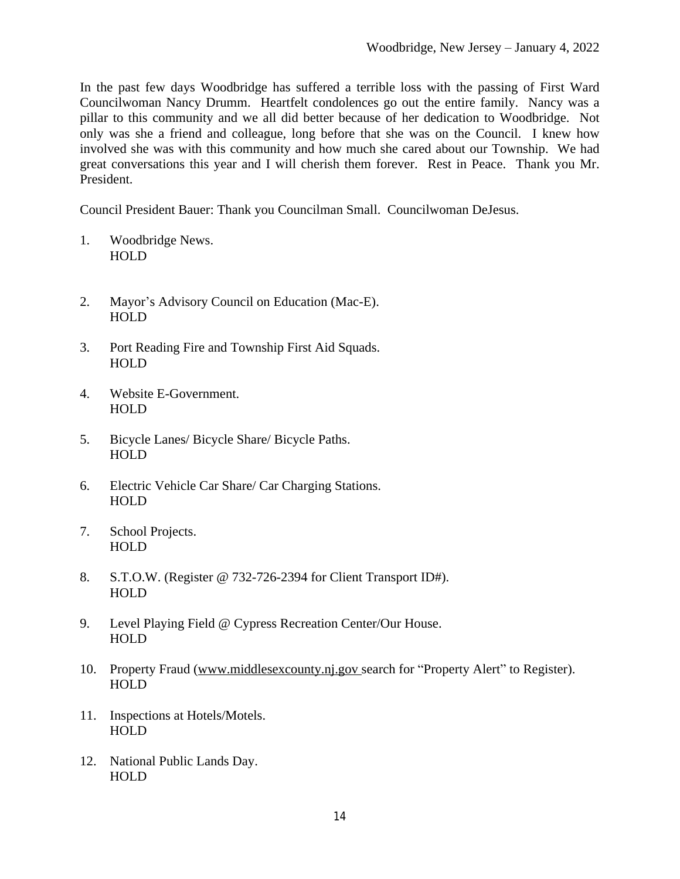In the past few days Woodbridge has suffered a terrible loss with the passing of First Ward Councilwoman Nancy Drumm. Heartfelt condolences go out the entire family. Nancy was a pillar to this community and we all did better because of her dedication to Woodbridge. Not only was she a friend and colleague, long before that she was on the Council. I knew how involved she was with this community and how much she cared about our Township. We had great conversations this year and I will cherish them forever. Rest in Peace. Thank you Mr. President.

Council President Bauer: Thank you Councilman Small. Councilwoman DeJesus.

- 1. Woodbridge News. HOLD
- 2. Mayor's Advisory Council on Education (Mac-E). HOLD
- 3. Port Reading Fire and Township First Aid Squads. HOLD
- 4. Website E-Government. HOLD
- 5. Bicycle Lanes/ Bicycle Share/ Bicycle Paths. HOLD
- 6. Electric Vehicle Car Share/ Car Charging Stations. HOLD
- 7. School Projects. HOLD
- 8. S.T.O.W. (Register @ 732-726-2394 for Client Transport ID#). **HOLD**
- 9. Level Playing Field @ Cypress Recreation Center/Our House. HOLD
- 10. Property Fraud [\(www.middlesexcounty.nj.gov](http://www.middlesexcounty.nj.gov) search for "Property Alert" to Register). HOLD
- 11. Inspections at Hotels/Motels. HOLD
- 12. National Public Lands Day. HOLD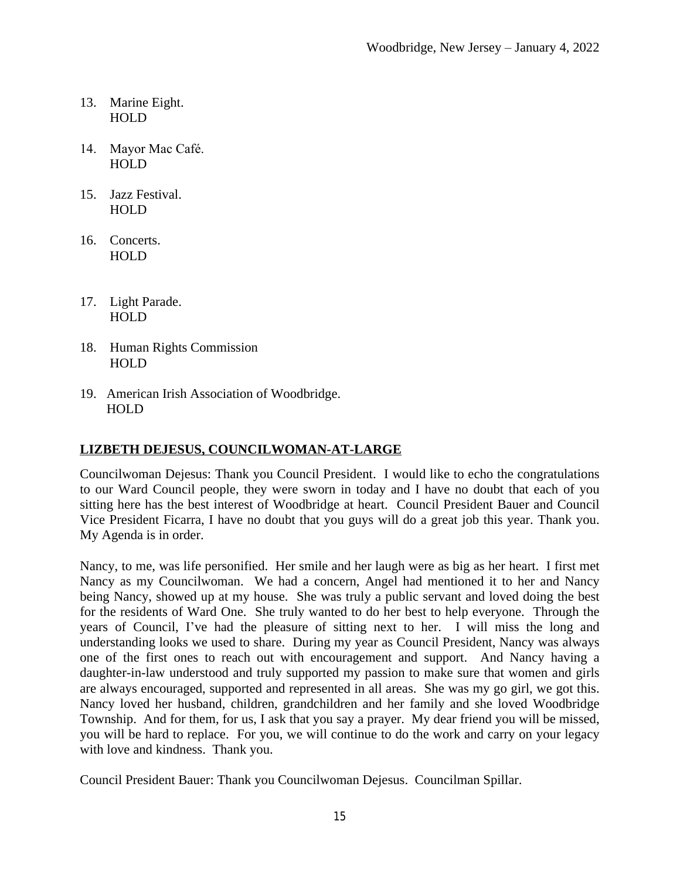- 13. Marine Eight. HOLD
- 14. Mayor Mac Café. HOLD
- 15. Jazz Festival. HOLD
- 16. Concerts. HOLD
- 17. Light Parade. HOLD
- 18. Human Rights Commission HOLD
- 19. American Irish Association of Woodbridge. HOLD

# **LIZBETH DEJESUS, COUNCILWOMAN-AT-LARGE**

Councilwoman Dejesus: Thank you Council President. I would like to echo the congratulations to our Ward Council people, they were sworn in today and I have no doubt that each of you sitting here has the best interest of Woodbridge at heart. Council President Bauer and Council Vice President Ficarra, I have no doubt that you guys will do a great job this year. Thank you. My Agenda is in order.

Nancy, to me, was life personified. Her smile and her laugh were as big as her heart. I first met Nancy as my Councilwoman. We had a concern, Angel had mentioned it to her and Nancy being Nancy, showed up at my house. She was truly a public servant and loved doing the best for the residents of Ward One. She truly wanted to do her best to help everyone. Through the years of Council, I've had the pleasure of sitting next to her. I will miss the long and understanding looks we used to share. During my year as Council President, Nancy was always one of the first ones to reach out with encouragement and support. And Nancy having a daughter-in-law understood and truly supported my passion to make sure that women and girls are always encouraged, supported and represented in all areas. She was my go girl, we got this. Nancy loved her husband, children, grandchildren and her family and she loved Woodbridge Township. And for them, for us, I ask that you say a prayer. My dear friend you will be missed, you will be hard to replace. For you, we will continue to do the work and carry on your legacy with love and kindness. Thank you.

Council President Bauer: Thank you Councilwoman Dejesus. Councilman Spillar.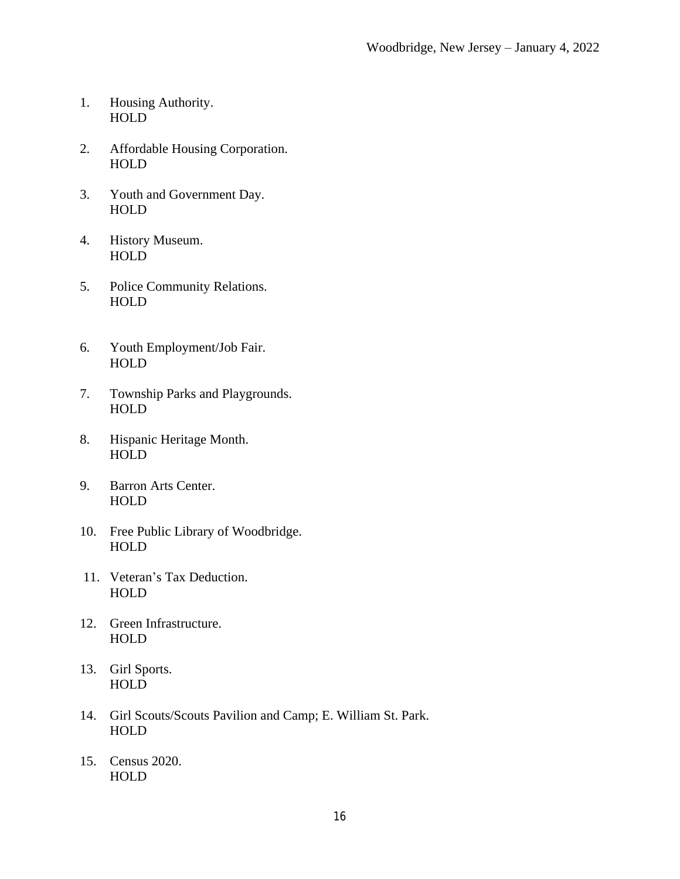- 1. Housing Authority. HOLD
- 2. Affordable Housing Corporation. HOLD
- 3. Youth and Government Day. HOLD
- 4. History Museum. HOLD
- 5. Police Community Relations. HOLD
- 6. Youth Employment/Job Fair. HOLD
- 7. Township Parks and Playgrounds. HOLD
- 8. Hispanic Heritage Month. HOLD
- 9. Barron Arts Center. HOLD
- 10. Free Public Library of Woodbridge. **HOLD**
- 11. Veteran's Tax Deduction. HOLD
- 12. Green Infrastructure. HOLD
- 13. Girl Sports. HOLD
- 14. Girl Scouts/Scouts Pavilion and Camp; E. William St. Park. HOLD
- 15. Census 2020. **HOLD**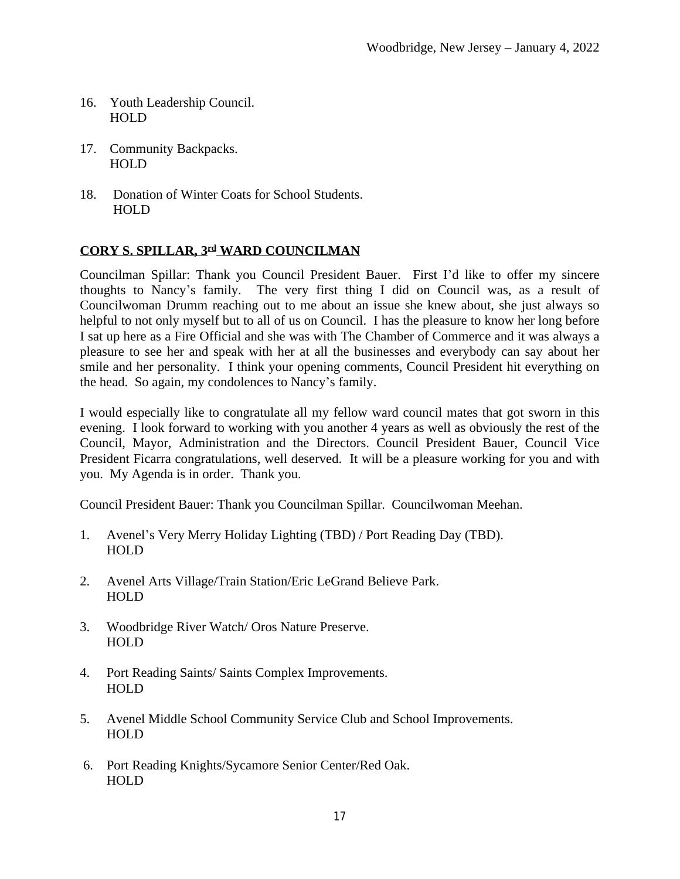- 16. Youth Leadership Council. HOLD
- 17. Community Backpacks. HOLD
- 18. Donation of Winter Coats for School Students. HOLD

# **CORY S. SPILLAR, 3rd WARD COUNCILMAN**

Councilman Spillar: Thank you Council President Bauer. First I'd like to offer my sincere thoughts to Nancy's family. The very first thing I did on Council was, as a result of Councilwoman Drumm reaching out to me about an issue she knew about, she just always so helpful to not only myself but to all of us on Council. I has the pleasure to know her long before I sat up here as a Fire Official and she was with The Chamber of Commerce and it was always a pleasure to see her and speak with her at all the businesses and everybody can say about her smile and her personality. I think your opening comments, Council President hit everything on the head. So again, my condolences to Nancy's family.

I would especially like to congratulate all my fellow ward council mates that got sworn in this evening. I look forward to working with you another 4 years as well as obviously the rest of the Council, Mayor, Administration and the Directors. Council President Bauer, Council Vice President Ficarra congratulations, well deserved. It will be a pleasure working for you and with you. My Agenda is in order. Thank you.

Council President Bauer: Thank you Councilman Spillar. Councilwoman Meehan.

- 1. Avenel's Very Merry Holiday Lighting (TBD) / Port Reading Day (TBD). HOLD
- 2. Avenel Arts Village/Train Station/Eric LeGrand Believe Park. HOLD
- 3. Woodbridge River Watch/ Oros Nature Preserve. HOLD
- 4. Port Reading Saints/ Saints Complex Improvements. HOLD
- 5. Avenel Middle School Community Service Club and School Improvements. **HOLD**
- 6. Port Reading Knights/Sycamore Senior Center/Red Oak. HOLD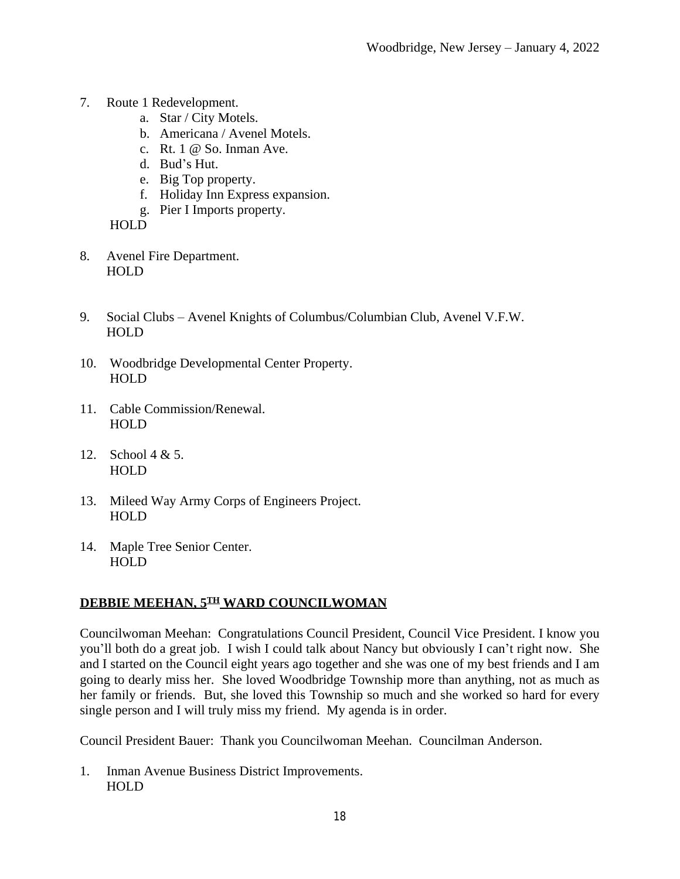- 7. Route 1 Redevelopment.
	- a. Star / City Motels.
	- b. Americana / Avenel Motels.
	- c. Rt. 1 @ So. Inman Ave.
	- d. Bud's Hut.
	- e. Big Top property.
	- f. Holiday Inn Express expansion.
	- g. Pier I Imports property.

- 8. Avenel Fire Department. HOLD
- 9. Social Clubs Avenel Knights of Columbus/Columbian Club, Avenel V.F.W. HOLD
- 10. Woodbridge Developmental Center Property. HOLD
- 11. Cable Commission/Renewal. HOLD
- 12. School 4 & 5. HOLD
- 13. Mileed Way Army Corps of Engineers Project. HOLD
- 14. Maple Tree Senior Center. HOLD

### **DEBBIE MEEHAN, 5TH WARD COUNCILWOMAN**

Councilwoman Meehan: Congratulations Council President, Council Vice President. I know you you'll both do a great job. I wish I could talk about Nancy but obviously I can't right now. She and I started on the Council eight years ago together and she was one of my best friends and I am going to dearly miss her. She loved Woodbridge Township more than anything, not as much as her family or friends. But, she loved this Township so much and she worked so hard for every single person and I will truly miss my friend. My agenda is in order.

Council President Bauer: Thank you Councilwoman Meehan. Councilman Anderson.

1. Inman Avenue Business District Improvements. HOLD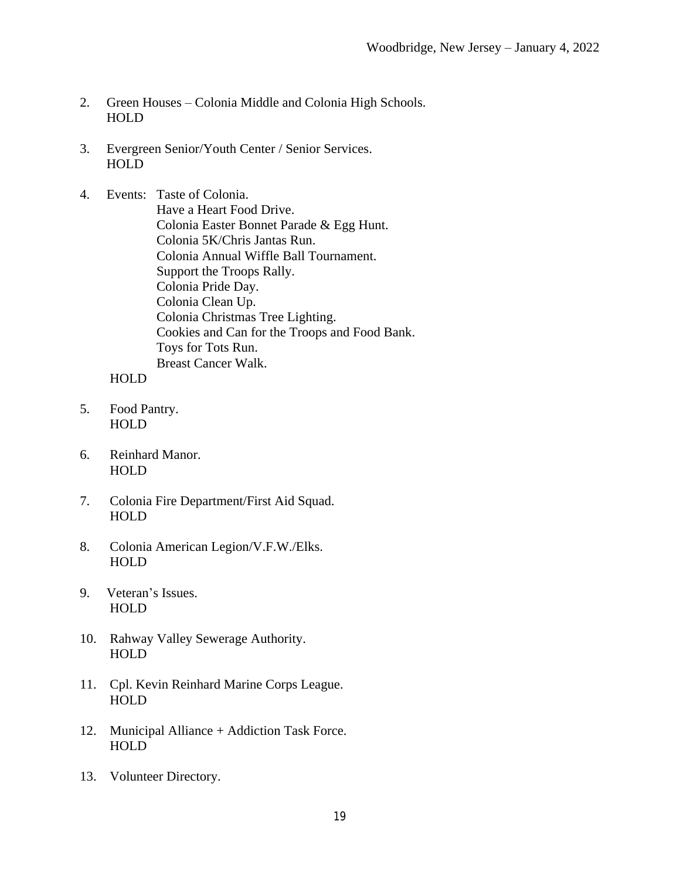- 2. Green Houses Colonia Middle and Colonia High Schools. HOLD
- 3. Evergreen Senior/Youth Center / Senior Services. HOLD
- 4. Events: Taste of Colonia. Have a Heart Food Drive. Colonia Easter Bonnet Parade & Egg Hunt. Colonia 5K/Chris Jantas Run. Colonia Annual Wiffle Ball Tournament. Support the Troops Rally. Colonia Pride Day. Colonia Clean Up. Colonia Christmas Tree Lighting. Cookies and Can for the Troops and Food Bank. Toys for Tots Run. Breast Cancer Walk.

- 5. Food Pantry. HOLD
- 6. Reinhard Manor. HOLD
- 7. Colonia Fire Department/First Aid Squad. HOLD
- 8. Colonia American Legion/V.F.W./Elks. HOLD
- 9. Veteran's Issues. HOLD
- 10. Rahway Valley Sewerage Authority. HOLD
- 11. Cpl. Kevin Reinhard Marine Corps League. HOLD
- 12. Municipal Alliance + Addiction Task Force. HOLD
- 13. Volunteer Directory.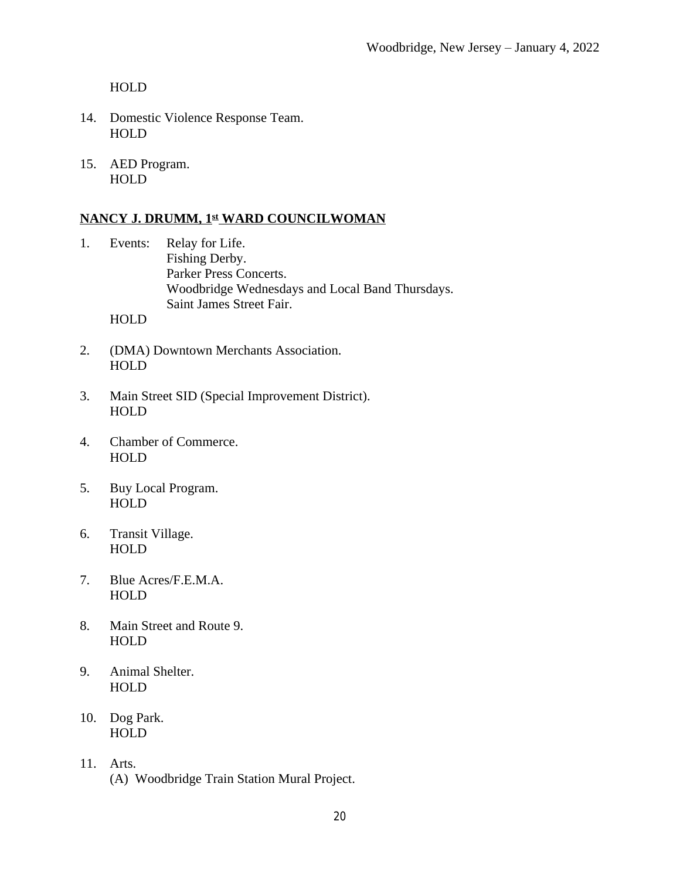- 14. Domestic Violence Response Team. HOLD
- 15. AED Program. HOLD

# **NANCY J. DRUMM, 1st WARD COUNCILWOMAN**

- 1. Events: Relay for Life. Fishing Derby. Parker Press Concerts. Woodbridge Wednesdays and Local Band Thursdays. Saint James Street Fair. HOLD
- 2. (DMA) Downtown Merchants Association. HOLD
- 3. Main Street SID (Special Improvement District). HOLD
- 4. Chamber of Commerce. HOLD
- 5. Buy Local Program. HOLD
- 6. Transit Village. HOLD
- 7. Blue Acres/F.E.M.A. HOLD
- 8. Main Street and Route 9. HOLD
- 9. Animal Shelter. HOLD
- 10. Dog Park. HOLD
- 11. Arts. (A) Woodbridge Train Station Mural Project.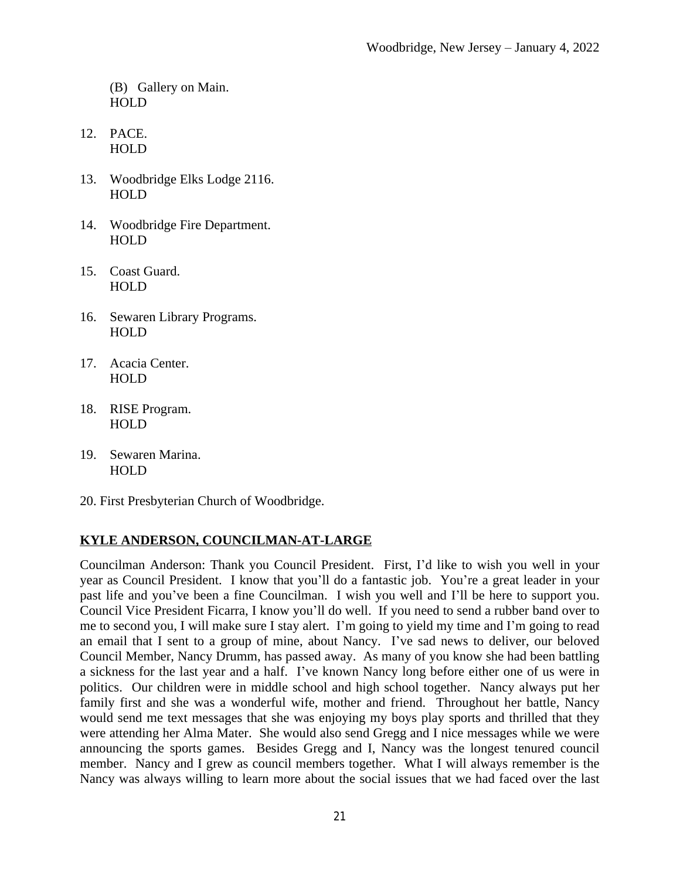(B) Gallery on Main. HOLD

- 12. PACE. HOLD
- 13. Woodbridge Elks Lodge 2116. HOLD
- 14. Woodbridge Fire Department. HOLD
- 15. Coast Guard. HOLD
- 16. Sewaren Library Programs. HOLD
- 17. Acacia Center. HOLD
- 18. RISE Program. HOLD
- 19. Sewaren Marina. HOLD
- 20. First Presbyterian Church of Woodbridge.

# **KYLE ANDERSON, COUNCILMAN-AT-LARGE**

Councilman Anderson: Thank you Council President. First, I'd like to wish you well in your year as Council President. I know that you'll do a fantastic job. You're a great leader in your past life and you've been a fine Councilman. I wish you well and I'll be here to support you. Council Vice President Ficarra, I know you'll do well. If you need to send a rubber band over to me to second you, I will make sure I stay alert. I'm going to yield my time and I'm going to read an email that I sent to a group of mine, about Nancy. I've sad news to deliver, our beloved Council Member, Nancy Drumm, has passed away. As many of you know she had been battling a sickness for the last year and a half. I've known Nancy long before either one of us were in politics. Our children were in middle school and high school together. Nancy always put her family first and she was a wonderful wife, mother and friend. Throughout her battle, Nancy would send me text messages that she was enjoying my boys play sports and thrilled that they were attending her Alma Mater. She would also send Gregg and I nice messages while we were announcing the sports games. Besides Gregg and I, Nancy was the longest tenured council member. Nancy and I grew as council members together. What I will always remember is the Nancy was always willing to learn more about the social issues that we had faced over the last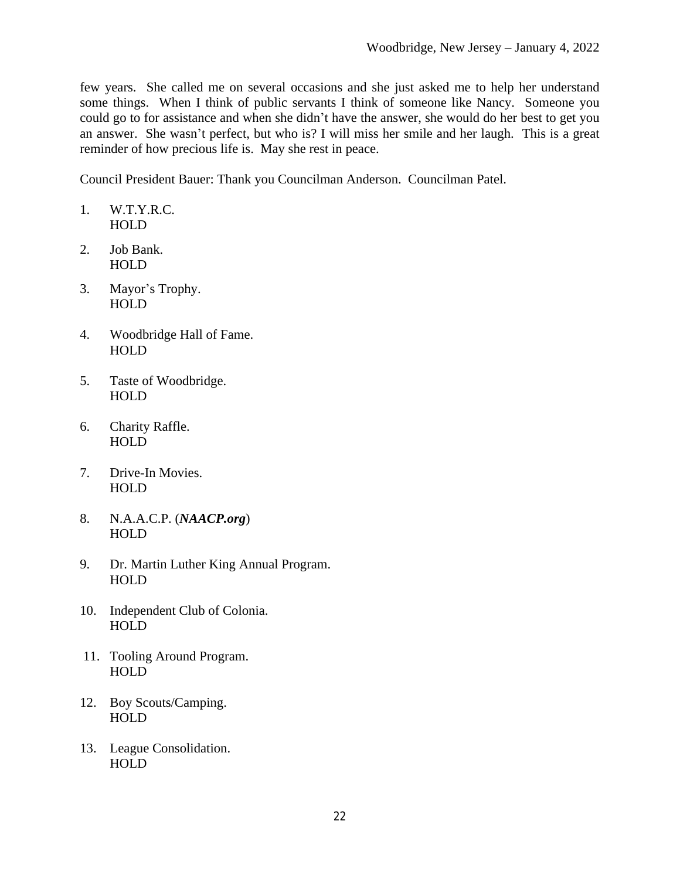few years. She called me on several occasions and she just asked me to help her understand some things. When I think of public servants I think of someone like Nancy. Someone you could go to for assistance and when she didn't have the answer, she would do her best to get you an answer. She wasn't perfect, but who is? I will miss her smile and her laugh. This is a great reminder of how precious life is. May she rest in peace.

Council President Bauer: Thank you Councilman Anderson. Councilman Patel.

- 1. W.T.Y.R.C. HOLD
- 2. Job Bank. HOLD
- 3. Mayor's Trophy. HOLD
- 4. Woodbridge Hall of Fame. HOLD
- 5. Taste of Woodbridge. HOLD
- 6. Charity Raffle. **HOLD**
- 7. Drive-In Movies. HOLD
- 8. N.A.A.C.P. (*NAACP.org*) HOLD
- 9. Dr. Martin Luther King Annual Program. HOLD
- 10. Independent Club of Colonia. HOLD
- 11. Tooling Around Program. **HOLD**
- 12. Boy Scouts/Camping. HOLD
- 13. League Consolidation. HOLD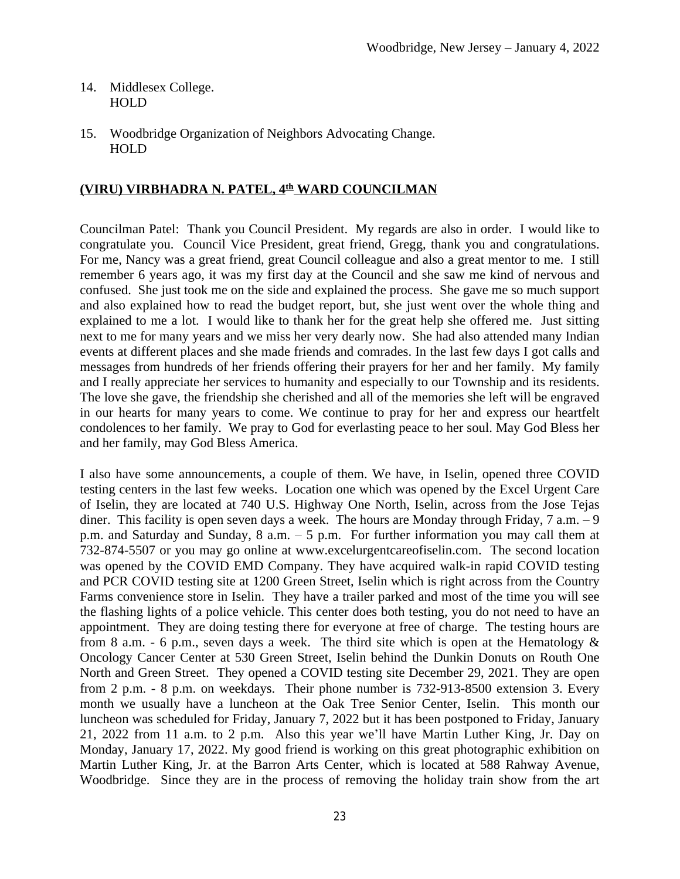- 14. Middlesex College. HOLD
- 15. Woodbridge Organization of Neighbors Advocating Change. HOLD

### **(VIRU) VIRBHADRA N. PATEL, 4th WARD COUNCILMAN**

Councilman Patel: Thank you Council President. My regards are also in order. I would like to congratulate you. Council Vice President, great friend, Gregg, thank you and congratulations. For me, Nancy was a great friend, great Council colleague and also a great mentor to me. I still remember 6 years ago, it was my first day at the Council and she saw me kind of nervous and confused. She just took me on the side and explained the process. She gave me so much support and also explained how to read the budget report, but, she just went over the whole thing and explained to me a lot. I would like to thank her for the great help she offered me. Just sitting next to me for many years and we miss her very dearly now. She had also attended many Indian events at different places and she made friends and comrades. In the last few days I got calls and messages from hundreds of her friends offering their prayers for her and her family. My family and I really appreciate her services to humanity and especially to our Township and its residents. The love she gave, the friendship she cherished and all of the memories she left will be engraved in our hearts for many years to come. We continue to pray for her and express our heartfelt condolences to her family. We pray to God for everlasting peace to her soul. May God Bless her and her family, may God Bless America.

I also have some announcements, a couple of them. We have, in Iselin, opened three COVID testing centers in the last few weeks. Location one which was opened by the Excel Urgent Care of Iselin, they are located at 740 U.S. Highway One North, Iselin, across from the Jose Tejas diner. This facility is open seven days a week. The hours are Monday through Friday,  $7 a.m. - 9$ p.m. and Saturday and Sunday, 8 a.m. – 5 p.m. For further information you may call them at 732-874-5507 or you may go online at www.excelurgentcareofiselin.com. The second location was opened by the COVID EMD Company. They have acquired walk-in rapid COVID testing and PCR COVID testing site at 1200 Green Street, Iselin which is right across from the Country Farms convenience store in Iselin. They have a trailer parked and most of the time you will see the flashing lights of a police vehicle. This center does both testing, you do not need to have an appointment. They are doing testing there for everyone at free of charge. The testing hours are from 8 a.m. - 6 p.m., seven days a week. The third site which is open at the Hematology  $\&$ Oncology Cancer Center at 530 Green Street, Iselin behind the Dunkin Donuts on Routh One North and Green Street. They opened a COVID testing site December 29, 2021. They are open from 2 p.m. - 8 p.m. on weekdays. Their phone number is 732-913-8500 extension 3. Every month we usually have a luncheon at the Oak Tree Senior Center, Iselin. This month our luncheon was scheduled for Friday, January 7, 2022 but it has been postponed to Friday, January 21, 2022 from 11 a.m. to 2 p.m. Also this year we'll have Martin Luther King, Jr. Day on Monday, January 17, 2022. My good friend is working on this great photographic exhibition on Martin Luther King, Jr. at the Barron Arts Center, which is located at 588 Rahway Avenue, Woodbridge. Since they are in the process of removing the holiday train show from the art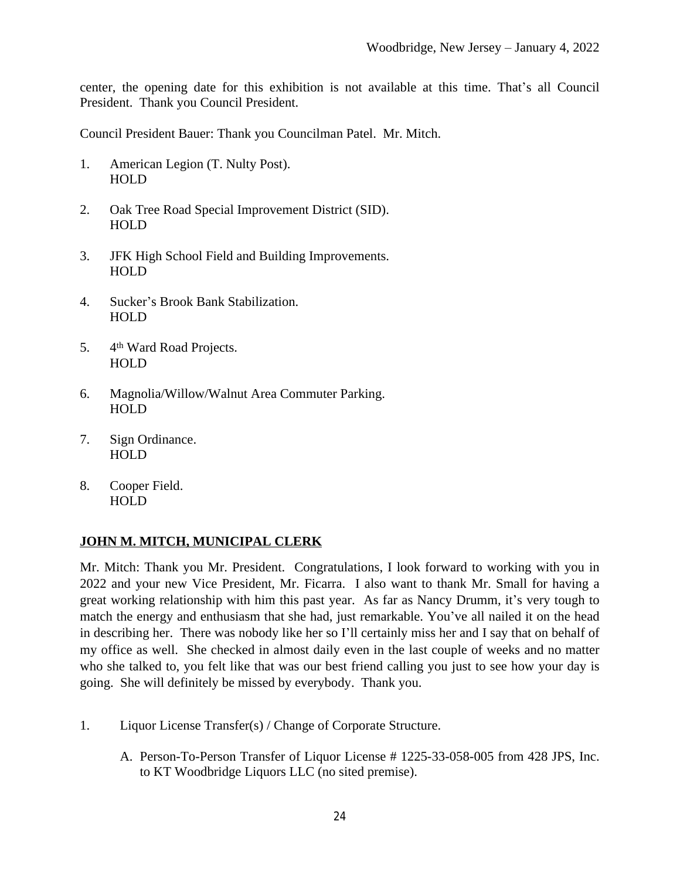center, the opening date for this exhibition is not available at this time. That's all Council President. Thank you Council President.

Council President Bauer: Thank you Councilman Patel. Mr. Mitch.

- 1. American Legion (T. Nulty Post). HOLD
- 2. Oak Tree Road Special Improvement District (SID). HOLD
- 3. JFK High School Field and Building Improvements. HOLD
- 4. Sucker's Brook Bank Stabilization. HOLD
- 5. 4th Ward Road Projects. HOLD
- 6. Magnolia/Willow/Walnut Area Commuter Parking. HOLD
- 7. Sign Ordinance. HOLD
- 8. Cooper Field. HOLD

# **JOHN M. MITCH, MUNICIPAL CLERK**

Mr. Mitch: Thank you Mr. President. Congratulations, I look forward to working with you in 2022 and your new Vice President, Mr. Ficarra. I also want to thank Mr. Small for having a great working relationship with him this past year. As far as Nancy Drumm, it's very tough to match the energy and enthusiasm that she had, just remarkable. You've all nailed it on the head in describing her. There was nobody like her so I'll certainly miss her and I say that on behalf of my office as well. She checked in almost daily even in the last couple of weeks and no matter who she talked to, you felt like that was our best friend calling you just to see how your day is going. She will definitely be missed by everybody. Thank you.

- 1. Liquor License Transfer(s) / Change of Corporate Structure.
	- A. Person-To-Person Transfer of Liquor License # 1225-33-058-005 from 428 JPS, Inc. to KT Woodbridge Liquors LLC (no sited premise).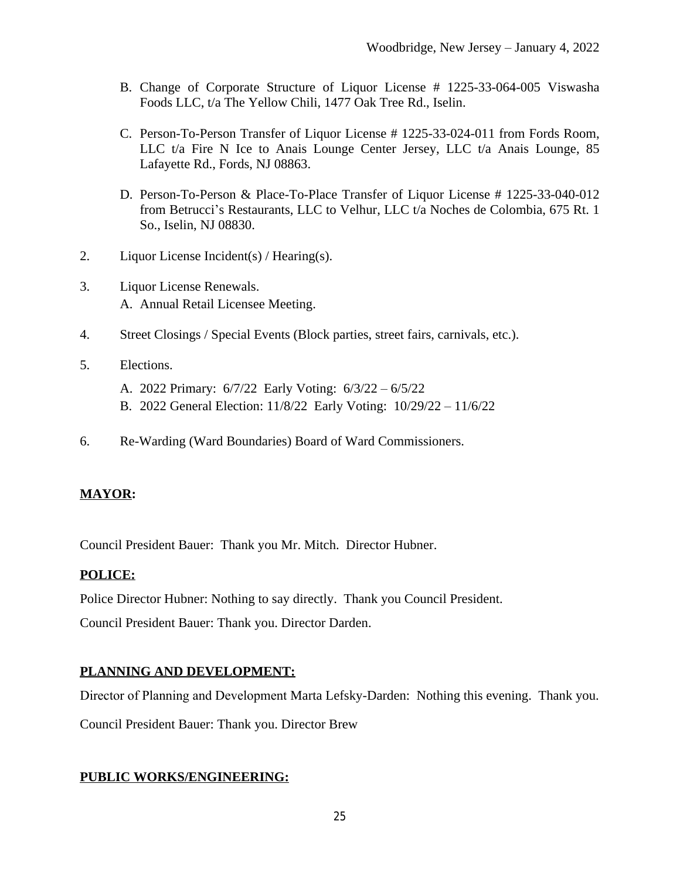- B. Change of Corporate Structure of Liquor License # 1225-33-064-005 Viswasha Foods LLC, t/a The Yellow Chili, 1477 Oak Tree Rd., Iselin.
- C. Person-To-Person Transfer of Liquor License # 1225-33-024-011 from Fords Room, LLC t/a Fire N Ice to Anais Lounge Center Jersey, LLC t/a Anais Lounge, 85 Lafayette Rd., Fords, NJ 08863.
- D. Person-To-Person & Place-To-Place Transfer of Liquor License # 1225-33-040-012 from Betrucci's Restaurants, LLC to Velhur, LLC t/a Noches de Colombia, 675 Rt. 1 So., Iselin, NJ 08830.
- 2. Liquor License Incident(s) / Hearing(s).
- 3. Liquor License Renewals. A. Annual Retail Licensee Meeting.
- 4. Street Closings / Special Events (Block parties, street fairs, carnivals, etc.).
- 5. Elections.
	- A. 2022 Primary: 6/7/22 Early Voting: 6/3/22 6/5/22
	- B. 2022 General Election: 11/8/22 Early Voting: 10/29/22 11/6/22
- 6. Re-Warding (Ward Boundaries) Board of Ward Commissioners.

# **MAYOR:**

Council President Bauer: Thank you Mr. Mitch. Director Hubner.

# **POLICE:**

Police Director Hubner: Nothing to say directly. Thank you Council President.

Council President Bauer: Thank you. Director Darden.

# **PLANNING AND DEVELOPMENT:**

Director of Planning and Development Marta Lefsky-Darden: Nothing this evening. Thank you.

Council President Bauer: Thank you. Director Brew

### **PUBLIC WORKS/ENGINEERING:**

25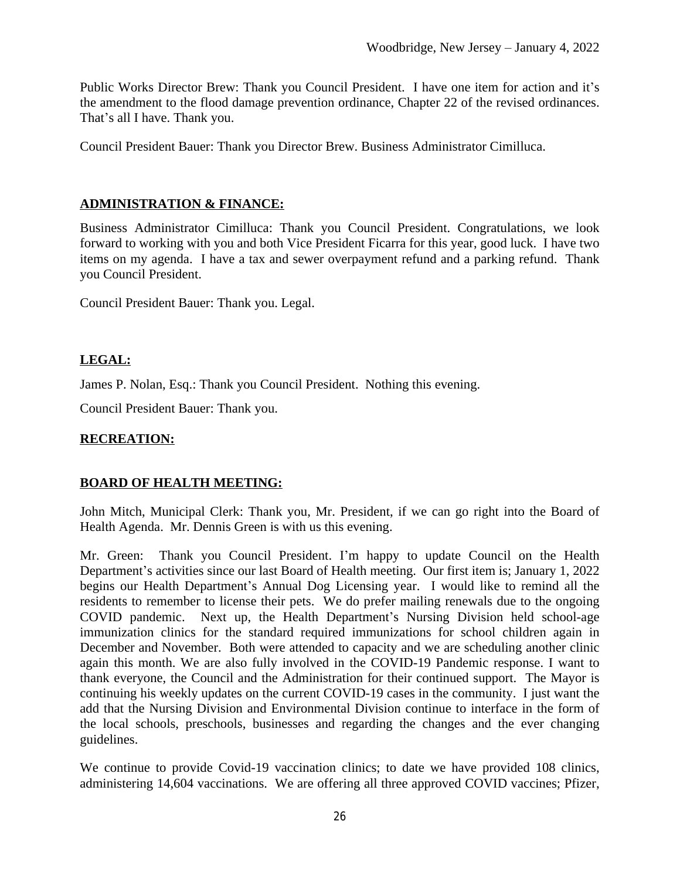Public Works Director Brew: Thank you Council President. I have one item for action and it's the amendment to the flood damage prevention ordinance, Chapter 22 of the revised ordinances. That's all I have. Thank you.

Council President Bauer: Thank you Director Brew. Business Administrator Cimilluca.

# **ADMINISTRATION & FINANCE:**

Business Administrator Cimilluca: Thank you Council President. Congratulations, we look forward to working with you and both Vice President Ficarra for this year, good luck. I have two items on my agenda. I have a tax and sewer overpayment refund and a parking refund. Thank you Council President.

Council President Bauer: Thank you. Legal.

# **LEGAL:**

James P. Nolan, Esq.: Thank you Council President. Nothing this evening.

Council President Bauer: Thank you.

# **RECREATION:**

# **BOARD OF HEALTH MEETING:**

John Mitch, Municipal Clerk: Thank you, Mr. President, if we can go right into the Board of Health Agenda. Mr. Dennis Green is with us this evening.

Mr. Green: Thank you Council President. I'm happy to update Council on the Health Department's activities since our last Board of Health meeting. Our first item is; January 1, 2022 begins our Health Department's Annual Dog Licensing year. I would like to remind all the residents to remember to license their pets. We do prefer mailing renewals due to the ongoing COVID pandemic. Next up, the Health Department's Nursing Division held school-age immunization clinics for the standard required immunizations for school children again in December and November. Both were attended to capacity and we are scheduling another clinic again this month. We are also fully involved in the COVID-19 Pandemic response. I want to thank everyone, the Council and the Administration for their continued support. The Mayor is continuing his weekly updates on the current COVID-19 cases in the community. I just want the add that the Nursing Division and Environmental Division continue to interface in the form of the local schools, preschools, businesses and regarding the changes and the ever changing guidelines.

We continue to provide Covid-19 vaccination clinics; to date we have provided 108 clinics, administering 14,604 vaccinations. We are offering all three approved COVID vaccines; Pfizer,